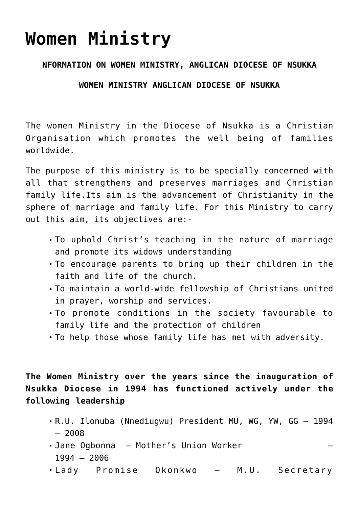# **[Women Ministry](https://adonsk.com/women-ministry/)**

## **NFORMATION ON WOMEN MINISTRY, ANGLICAN DIOCESE OF NSUKKA**

## **WOMEN MINISTRY ANGLICAN DIOCESE OF NSUKKA**

The women Ministry in the Diocese of Nsukka is a Christian Organisation which promotes the well being of families worldwide.

The purpose of this ministry is to be specially concerned with all that strengthens and preserves marriages and Christian family life.Its aim is the advancement of Christianity in the sphere of marriage and family life. For this Ministry to carry out this aim, its objectives are:-

- To uphold Christ's teaching in the nature of marriage and promote its widows understanding
- To encourage parents to bring up their children in the faith and life of the church.
- To maintain a world-wide fellowship of Christians united in prayer, worship and services.
- To promote conditions in the society favourable to family life and the protection of children
- To help those whose family life has met with adversity.

**The Women Ministry over the years since the inauguration of Nsukka Diocese in 1994 has functioned actively under the following leadership**

- R.U. Ilonuba (Nnediugwu) President MU, WG, YW, GG 1994 – 2008
- Jane Ogbonna Mother's Union Worker 1994 – 2006
- Lady Promise Okonkwo M.U. Secretary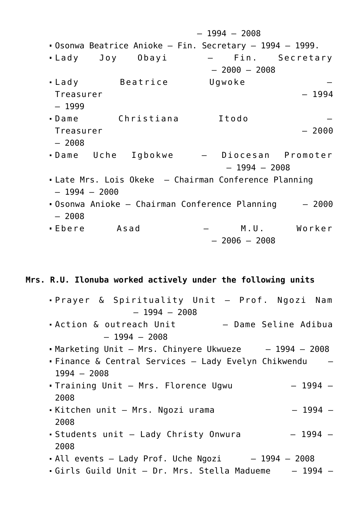– 1994 – 2008 Osonwa Beatrice Anioke – Fin. Secretary – 1994 – 1999. Lady Joy Obayi – Fin. Secretary – 2000 – 2008 Lady Beatrice Ugwoke – Treasurer – 1994 – 1999 Dame Christiana Itodo – Treasurer – 2000 – 2008 Dame Uche Igbokwe – Diocesan Promoter  $-1994 - 2008$ Late Mrs. Lois Okeke – Chairman Conference Planning – 1994 – 2000 Osonwa Anioke – Chairman Conference Planning – 2000 – 2008 Ebere Asad – M.U. Worker – 2006 – 2008

**Mrs. R.U. Ilonuba worked actively under the following units**

Prayer & Spirituality Unit – Prof. Ngozi Nam  $-1994 - 2008$ Action & outreach Unit – Dame Seline Adibua  $-1994 - 2008$ Marketing Unit – Mrs. Chinyere Ukwueze – 1994 – 2008 Finance & Central Services – Lady Evelyn Chikwendu – 1994 – 2008 Training Unit – Mrs. Florence Ugwu – 1994 – 2008 Kitchen unit – Mrs. Ngozi urama – 1994 – 2008 Students unit – Lady Christy Onwura – 1994 – 2008  $\bullet$  All events - Lady Prof. Uche Ngozi  $-1994 - 2008$ Girls Guild Unit – Dr. Mrs. Stella Madueme – 1994 –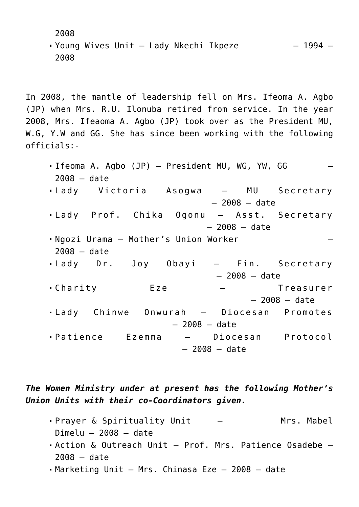2008

Young Wives Unit – Lady Nkechi Ikpeze – 1994 – 2008

In 2008, the mantle of leadership fell on Mrs. Ifeoma A. Agbo (JP) when Mrs. R.U. Ilonuba retired from service. In the year 2008, Mrs. Ifeaoma A. Agbo (JP) took over as the President MU, W.G, Y.W and GG. She has since been working with the following officials:-

Ifeoma A. Agbo (JP) - President MU, WG, YW, GG 2008 – date Lady Victoria Asogwa – MU Secretary – 2008 – date Lady Prof. Chika Ogonu – Asst. Secretary – 2008 – date Ngozi Urama – Mother's Union Worker – 2008 – date Lady Dr. Joy Obayi – Fin. Secretary – 2008 – date Charity Eze – Treasurer – 2008 – date Lady Chinwe Onwurah – Diocesan Promotes – 2008 – date Patience Ezemma – Diocesan Protocol – 2008 – date

*The Women Ministry under at present has the following Mother's Union Units with their co-Coordinators given.*

- Prayer & Spirituality Unit The Mrs. Mabel  $Dimelu - 2008 - date$
- Action & Outreach Unit Prof. Mrs. Patience Osadebe 2008 – date
- Marketing Unit Mrs. Chinasa Eze 2008 date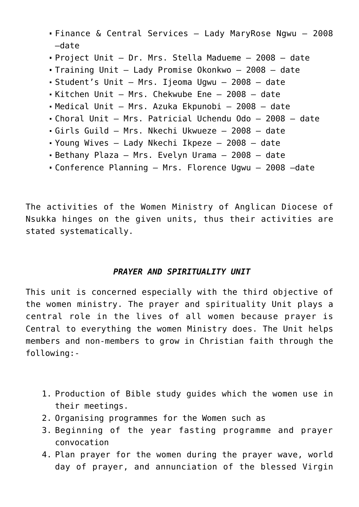- Finance & Central Services Lady MaryRose Ngwu 2008 –date
- Project Unit Dr. Mrs. Stella Madueme 2008 date
- Training Unit Lady Promise Okonkwo 2008 date
- Student's Unit Mrs. Ijeoma Ugwu 2008 date
- Kitchen Unit Mrs. Chekwube Ene 2008 date
- Medical Unit Mrs. Azuka Ekpunobi 2008 date
- Choral Unit Mrs. Patricial Uchendu Odo 2008 date
- Girls Guild Mrs. Nkechi Ukwueze 2008 date
- Young Wives Lady Nkechi Ikpeze 2008 date
- Bethany Plaza Mrs. Evelyn Urama 2008 date
- Conference Planning Mrs. Florence Ugwu 2008 –date

The activities of the Women Ministry of Anglican Diocese of Nsukka hinges on the given units, thus their activities are stated systematically.

# *PRAYER AND SPIRITUALITY UNIT*

This unit is concerned especially with the third objective of the women ministry. The prayer and spirituality Unit plays a central role in the lives of all women because prayer is Central to everything the women Ministry does. The Unit helps members and non-members to grow in Christian faith through the following:-

- 1. Production of Bible study guides which the women use in their meetings.
- 2. Organising programmes for the Women such as
- 3. Beginning of the year fasting programme and prayer convocation
- 4. Plan prayer for the women during the prayer wave, world day of prayer, and annunciation of the blessed Virgin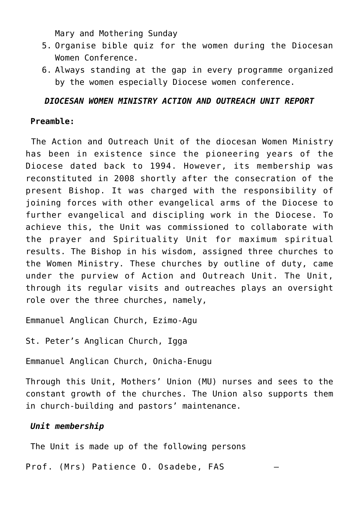Mary and Mothering Sunday

- 5. Organise bible quiz for the women during the Diocesan Women Conference.
- 6. Always standing at the gap in every programme organized by the women especially Diocese women conference.

# *DIOCESAN WOMEN MINISTRY ACTION AND OUTREACH UNIT REPORT*

# **Preamble:**

The Action and Outreach Unit of the diocesan Women Ministry has been in existence since the pioneering years of the Diocese dated back to 1994. However, its membership was reconstituted in 2008 shortly after the consecration of the present Bishop. It was charged with the responsibility of joining forces with other evangelical arms of the Diocese to further evangelical and discipling work in the Diocese. To achieve this, the Unit was commissioned to collaborate with the prayer and Spirituality Unit for maximum spiritual results. The Bishop in his wisdom, assigned three churches to the Women Ministry. These churches by outline of duty, came under the purview of Action and Outreach Unit. The Unit, through its regular visits and outreaches plays an oversight role over the three churches, namely,

Emmanuel Anglican Church, Ezimo-Agu

St. Peter's Anglican Church, Igga

Emmanuel Anglican Church, Onicha-Enugu

Through this Unit, Mothers' Union (MU) nurses and sees to the constant growth of the churches. The Union also supports them in church-building and pastors' maintenance.

# *Unit membership*

The Unit is made up of the following persons

Prof. (Mrs) Patience O. Osadebe, FAS –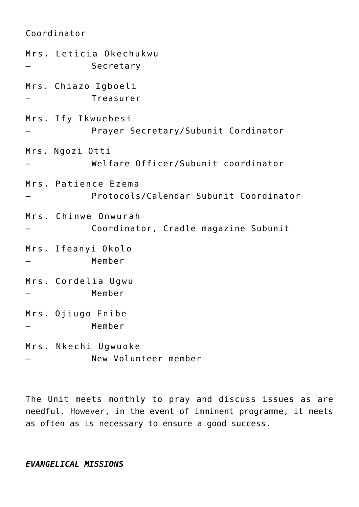Coordinator Mrs. Leticia Okechukwu **Secretary** Mrs. Chiazo Igboeli – Treasurer Mrs. Ify Ikwuebesi Prayer Secretary/Subunit Cordinator Mrs. Ngozi Otti – Welfare Officer/Subunit coordinator Mrs. Patience Ezema – Protocols/Calendar Subunit Coordinator Mrs. Chinwe Onwurah – Coordinator, Cradle magazine Subunit Mrs. Ifeanyi Okolo – Member Mrs. Cordelia Ugwu – Member Mrs. Ojiugo Enibe – Member Mrs. Nkechi Ugwuoke – New Volunteer member

The Unit meets monthly to pray and discuss issues as are needful. However, in the event of imminent programme, it meets as often as is necessary to ensure a good success.

#### *EVANGELICAL MISSIONS*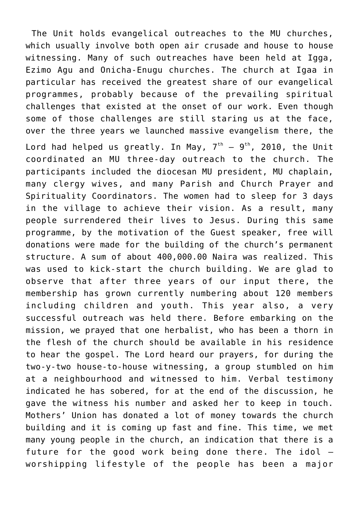The Unit holds evangelical outreaches to the MU churches, which usually involve both open air crusade and house to house witnessing. Many of such outreaches have been held at Igga, Ezimo Agu and Onicha-Enugu churches. The church at Igaa in particular has received the greatest share of our evangelical programmes, probably because of the prevailing spiritual challenges that existed at the onset of our work. Even though some of those challenges are still staring us at the face, over the three years we launched massive evangelism there, the Lord had helped us greatly. In May,  $7<sup>th</sup> - 9<sup>th</sup>$ , 2010, the Unit coordinated an MU three-day outreach to the church. The participants included the diocesan MU president, MU chaplain, many clergy wives, and many Parish and Church Prayer and Spirituality Coordinators. The women had to sleep for 3 days in the village to achieve their vision. As a result, many people surrendered their lives to Jesus. During this same programme, by the motivation of the Guest speaker, free will donations were made for the building of the church's permanent structure. A sum of about 400,000.00 Naira was realized. This was used to kick-start the church building. We are glad to observe that after three years of our input there, the membership has grown currently numbering about 120 members including children and youth. This year also, a very successful outreach was held there. Before embarking on the mission, we prayed that one herbalist, who has been a thorn in the flesh of the church should be available in his residence to hear the gospel. The Lord heard our prayers, for during the two-y-two house-to-house witnessing, a group stumbled on him at a neighbourhood and witnessed to him. Verbal testimony indicated he has sobered, for at the end of the discussion, he gave the witness his number and asked her to keep in touch. Mothers' Union has donated a lot of money towards the church building and it is coming up fast and fine. This time, we met many young people in the church, an indication that there is a future for the good work being done there. The idol – worshipping lifestyle of the people has been a major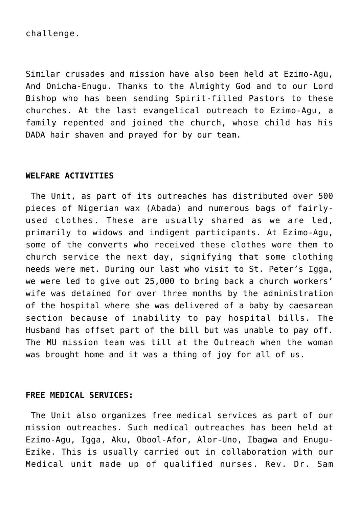challenge.

Similar crusades and mission have also been held at Ezimo-Agu, And Onicha-Enugu. Thanks to the Almighty God and to our Lord Bishop who has been sending Spirit-filled Pastors to these churches. At the last evangelical outreach to Ezimo-Agu, a family repented and joined the church, whose child has his DADA hair shaven and prayed for by our team.

#### **WELFARE ACTIVITIES**

The Unit, as part of its outreaches has distributed over 500 pieces of Nigerian wax (Abada) and numerous bags of fairlyused clothes. These are usually shared as we are led, primarily to widows and indigent participants. At Ezimo-Agu, some of the converts who received these clothes wore them to church service the next day, signifying that some clothing needs were met. During our last who visit to St. Peter's Igga, we were led to give out 25,000 to bring back a church workers' wife was detained for over three months by the administration of the hospital where she was delivered of a baby by caesarean section because of inability to pay hospital bills. The Husband has offset part of the bill but was unable to pay off. The MU mission team was till at the Outreach when the woman was brought home and it was a thing of joy for all of us.

#### **FREE MEDICAL SERVICES:**

The Unit also organizes free medical services as part of our mission outreaches. Such medical outreaches has been held at Ezimo-Agu, Igga, Aku, Obool-Afor, Alor-Uno, Ibagwa and Enugu-Ezike. This is usually carried out in collaboration with our Medical unit made up of qualified nurses. Rev. Dr. Sam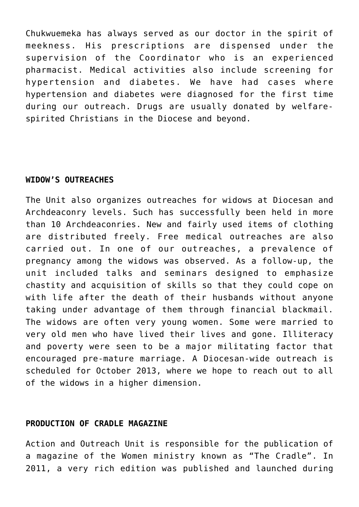Chukwuemeka has always served as our doctor in the spirit of meekness. His prescriptions are dispensed under the supervision of the Coordinator who is an experienced pharmacist. Medical activities also include screening for hypertension and diabetes. We have had cases where hypertension and diabetes were diagnosed for the first time during our outreach. Drugs are usually donated by welfarespirited Christians in the Diocese and beyond.

#### **WIDOW'S OUTREACHES**

The Unit also organizes outreaches for widows at Diocesan and Archdeaconry levels. Such has successfully been held in more than 10 Archdeaconries. New and fairly used items of clothing are distributed freely. Free medical outreaches are also carried out. In one of our outreaches, a prevalence of pregnancy among the widows was observed. As a follow-up, the unit included talks and seminars designed to emphasize chastity and acquisition of skills so that they could cope on with life after the death of their husbands without anyone taking under advantage of them through financial blackmail. The widows are often very young women. Some were married to very old men who have lived their lives and gone. Illiteracy and poverty were seen to be a major militating factor that encouraged pre-mature marriage. A Diocesan-wide outreach is scheduled for October 2013, where we hope to reach out to all of the widows in a higher dimension.

#### **PRODUCTION OF CRADLE MAGAZINE**

Action and Outreach Unit is responsible for the publication of a magazine of the Women ministry known as "The Cradle". In 2011, a very rich edition was published and launched during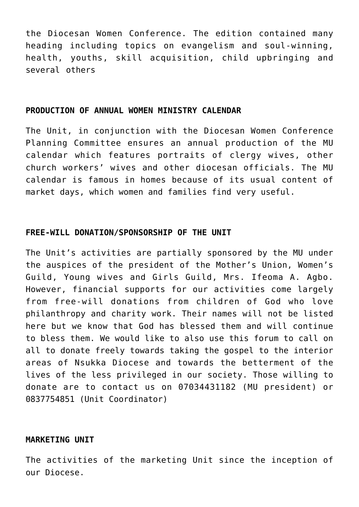the Diocesan Women Conference. The edition contained many heading including topics on evangelism and soul-winning, health, youths, skill acquisition, child upbringing and several others

#### **PRODUCTION OF ANNUAL WOMEN MINISTRY CALENDAR**

The Unit, in conjunction with the Diocesan Women Conference Planning Committee ensures an annual production of the MU calendar which features portraits of clergy wives, other church workers' wives and other diocesan officials. The MU calendar is famous in homes because of its usual content of market days, which women and families find very useful.

#### **FREE-WILL DONATION/SPONSORSHIP OF THE UNIT**

The Unit's activities are partially sponsored by the MU under the auspices of the president of the Mother's Union, Women's Guild, Young wives and Girls Guild, Mrs. Ifeoma A. Agbo. However, financial supports for our activities come largely from free-will donations from children of God who love philanthropy and charity work. Their names will not be listed here but we know that God has blessed them and will continue to bless them. We would like to also use this forum to call on all to donate freely towards taking the gospel to the interior areas of Nsukka Diocese and towards the betterment of the lives of the less privileged in our society. Those willing to donate are to contact us on 07034431182 (MU president) or 0837754851 (Unit Coordinator)

#### **MARKETING UNIT**

The activities of the marketing Unit since the inception of our Diocese.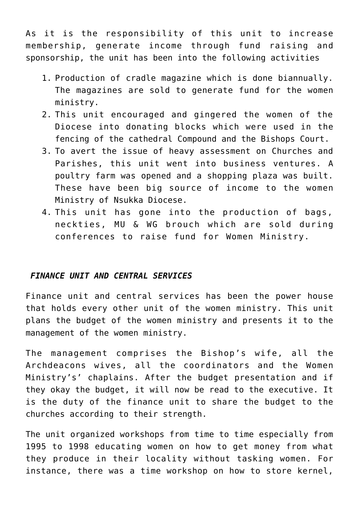As it is the responsibility of this unit to increase membership, generate income through fund raising and sponsorship, the unit has been into the following activities

- 1. Production of cradle magazine which is done biannually. The magazines are sold to generate fund for the women ministry.
- 2. This unit encouraged and gingered the women of the Diocese into donating blocks which were used in the fencing of the cathedral Compound and the Bishops Court.
- 3. To avert the issue of heavy assessment on Churches and Parishes, this unit went into business ventures. A poultry farm was opened and a shopping plaza was built. These have been big source of income to the women Ministry of Nsukka Diocese.
- 4. This unit has gone into the production of bags, neckties, MU & WG brouch which are sold during conferences to raise fund for Women Ministry.

#### *FINANCE UNIT AND CENTRAL SERVICES*

Finance unit and central services has been the power house that holds every other unit of the women ministry. This unit plans the budget of the women ministry and presents it to the management of the women ministry.

The management comprises the Bishop's wife, all the Archdeacons wives, all the coordinators and the Women Ministry's' chaplains. After the budget presentation and if they okay the budget, it will now be read to the executive. It is the duty of the finance unit to share the budget to the churches according to their strength.

The unit organized workshops from time to time especially from 1995 to 1998 educating women on how to get money from what they produce in their locality without tasking women. For instance, there was a time workshop on how to store kernel,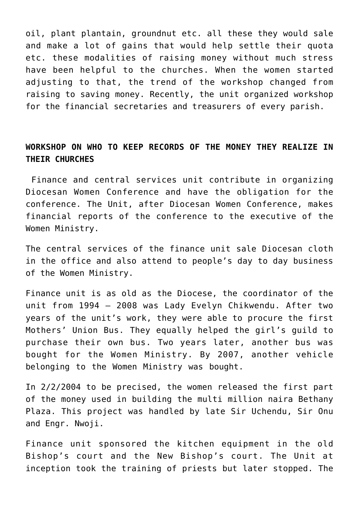oil, plant plantain, groundnut etc. all these they would sale and make a lot of gains that would help settle their quota etc. these modalities of raising money without much stress have been helpful to the churches. When the women started adjusting to that, the trend of the workshop changed from raising to saving money. Recently, the unit organized workshop for the financial secretaries and treasurers of every parish.

# **WORKSHOP ON WHO TO KEEP RECORDS OF THE MONEY THEY REALIZE IN THEIR CHURCHES**

Finance and central services unit contribute in organizing Diocesan Women Conference and have the obligation for the conference. The Unit, after Diocesan Women Conference, makes financial reports of the conference to the executive of the Women Ministry.

The central services of the finance unit sale Diocesan cloth in the office and also attend to people's day to day business of the Women Ministry.

Finance unit is as old as the Diocese, the coordinator of the unit from 1994 – 2008 was Lady Evelyn Chikwendu. After two years of the unit's work, they were able to procure the first Mothers' Union Bus. They equally helped the girl's guild to purchase their own bus. Two years later, another bus was bought for the Women Ministry. By 2007, another vehicle belonging to the Women Ministry was bought.

In 2/2/2004 to be precised, the women released the first part of the money used in building the multi million naira Bethany Plaza. This project was handled by late Sir Uchendu, Sir Onu and Engr. Nwoji.

Finance unit sponsored the kitchen equipment in the old Bishop's court and the New Bishop's court. The Unit at inception took the training of priests but later stopped. The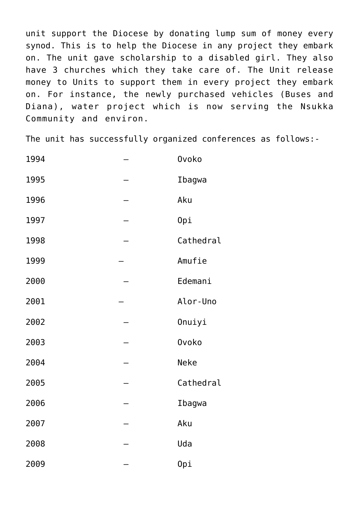unit support the Diocese by donating lump sum of money every synod. This is to help the Diocese in any project they embark on. The unit gave scholarship to a disabled girl. They also have 3 churches which they take care of. The Unit release money to Units to support them in every project they embark on. For instance, the newly purchased vehicles (Buses and Diana), water project which is now serving the Nsukka Community and environ.

The unit has successfully organized conferences as follows:-

| 1994 | <b>Ovoko</b> |
|------|--------------|
| 1995 | Ibagwa       |
| 1996 | Aku          |
| 1997 | Opi          |
| 1998 | Cathedral    |
| 1999 | Amufie       |
| 2000 | Edemani      |
| 2001 | Alor-Uno     |
| 2002 | Onuiyi       |
| 2003 | <b>Ovoko</b> |
| 2004 | <b>Neke</b>  |
| 2005 | Cathedral    |
| 2006 | Ibagwa       |
| 2007 | Aku          |
| 2008 | Uda          |
| 2009 | Opi          |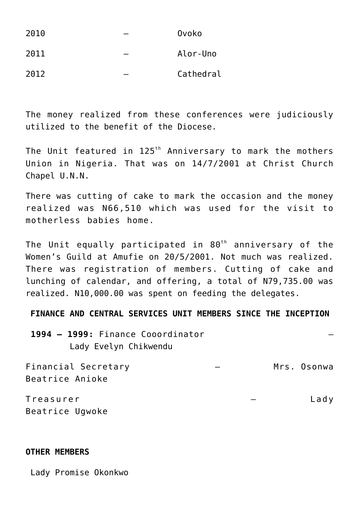| 2010 | Ovoko     |
|------|-----------|
| 2011 | Alor-Uno  |
| 2012 | Cathedral |

The money realized from these conferences were judiciously utilized to the benefit of the Diocese.

The Unit featured in  $125<sup>th</sup>$  Anniversary to mark the mothers Union in Nigeria. That was on 14/7/2001 at Christ Church Chapel U.N.N.

There was cutting of cake to mark the occasion and the money realized was N66,510 which was used for the visit to motherless babies home.

The Unit equally participated in  $80<sup>th</sup>$  anniversary of the Women's Guild at Amufie on 20/5/2001. Not much was realized. There was registration of members. Cutting of cake and lunching of calendar, and offering, a total of N79,735.00 was realized. N10,000.00 was spent on feeding the delegates.

**FINANCE AND CENTRAL SERVICES UNIT MEMBERS SINCE THE INCEPTION**

**1994 – 1999:** Finance Cooordinator – Lady Evelyn Chikwendu

Financial Secretary – Mrs. Osonwa Beatrice Anioke Treasurer – Lady

Beatrice Ugwoke

#### **OTHER MEMBERS**

Lady Promise Okonkwo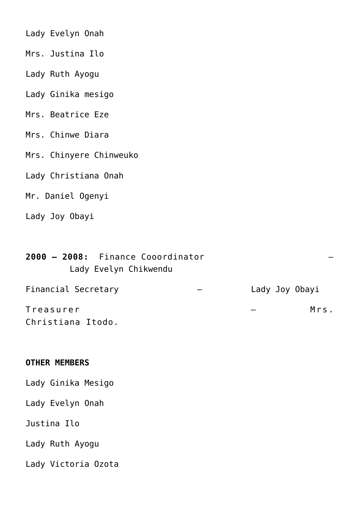| Lady Evelyn Onah        |
|-------------------------|
| Mrs. Justina Ilo        |
| Lady Ruth Ayogu         |
| Lady Ginika mesigo      |
| Mrs. Beatrice Eze       |
| Mrs. Chinwe Diara       |
| Mrs. Chinyere Chinweuko |
| Lady Christiana Onah    |
| Mr. Daniel Ogenyi       |
| Lady Joy Obayi          |
|                         |
|                         |

| 2000 - 2008: Finance Cooordinator<br>Lady Evelyn Chikwendu |                |      |
|------------------------------------------------------------|----------------|------|
| Financial Secretary                                        | Lady Joy Obayi |      |
| Treasurer                                                  |                | Mrs. |
| Christiana Itodo.                                          |                |      |

# **OTHER MEMBERS**

| Lady Ginika Mesigo  |  |
|---------------------|--|
| Lady Evelyn Onah    |  |
| Justina Ilo         |  |
| Lady Ruth Ayogu     |  |
| Lady Victoria Ozota |  |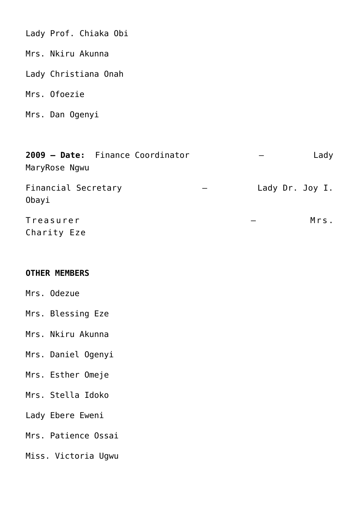Lady Prof. Chiaka Obi

Mrs. Nkiru Akunna

Lady Christiana Onah

Mrs. Ofoezie

Mrs. Dan Ogenyi

| 2009 - Date: Finance Coordinator<br>MaryRose Ngwu | Lady            |
|---------------------------------------------------|-----------------|
| Financial Secretary<br>Obayi                      | Lady Dr. Joy I. |
| Treasurer<br>Charity Eze                          | Mrs.            |

## **OTHER MEMBERS**

Mrs. Odezue

Mrs. Blessing Eze

Mrs. Nkiru Akunna

- Mrs. Daniel Ogenyi
- Mrs. Esther Omeje
- Mrs. Stella Idoko
- Lady Ebere Eweni
- Mrs. Patience Ossai
- Miss. Victoria Ugwu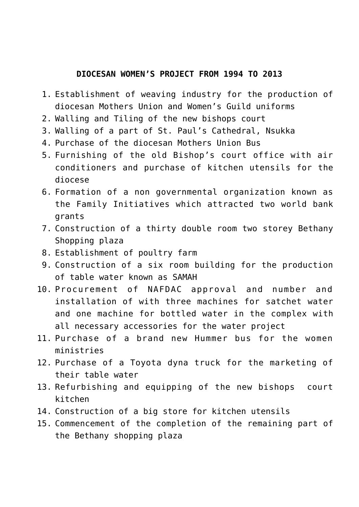## **DIOCESAN WOMEN'S PROJECT FROM 1994 TO 2013**

- 1. Establishment of weaving industry for the production of diocesan Mothers Union and Women's Guild uniforms
- 2. Walling and Tiling of the new bishops court
- 3. Walling of a part of St. Paul's Cathedral, Nsukka
- 4. Purchase of the diocesan Mothers Union Bus
- 5. Furnishing of the old Bishop's court office with air conditioners and purchase of kitchen utensils for the diocese
- 6. Formation of a non governmental organization known as the Family Initiatives which attracted two world bank grants
- 7. Construction of a thirty double room two storey Bethany Shopping plaza
- 8. Establishment of poultry farm
- 9. Construction of a six room building for the production of table water known as SAMAH
- 10. Procurement of NAFDAC approval and number and installation of with three machines for satchet water and one machine for bottled water in the complex with all necessary accessories for the water project
- 11. Purchase of a brand new Hummer bus for the women ministries
- 12. Purchase of a Toyota dyna truck for the marketing of their table water
- 13. Refurbishing and equipping of the new bishops court kitchen
- 14. Construction of a big store for kitchen utensils
- 15. Commencement of the completion of the remaining part of the Bethany shopping plaza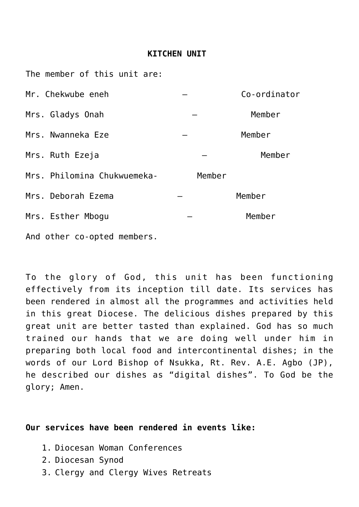#### **KITCHEN UNIT**

The member of this unit are:

| Mr. Chekwube eneh           |        | Co-ordinator |
|-----------------------------|--------|--------------|
| Mrs. Gladys Onah            |        | Member       |
| Mrs. Nwanneka Eze           |        | Member       |
| Mrs. Ruth Ezeja             |        | Member       |
| Mrs. Philomina Chukwuemeka- | Member |              |
| Mrs. Deborah Ezema          |        | Member       |
| Mrs. Esther Mbogu           |        | Member       |
| And other co-opted members. |        |              |

To the glory of God, this unit has been functioning effectively from its inception till date. Its services has been rendered in almost all the programmes and activities held in this great Diocese. The delicious dishes prepared by this great unit are better tasted than explained. God has so much trained our hands that we are doing well under him in preparing both local food and intercontinental dishes; in the words of our Lord Bishop of Nsukka, Rt. Rev. A.E. Agbo (JP), he described our dishes as "digital dishes". To God be the glory; Amen.

#### **Our services have been rendered in events like:**

- 1. Diocesan Woman Conferences
- 2. Diocesan Synod
- 3. Clergy and Clergy Wives Retreats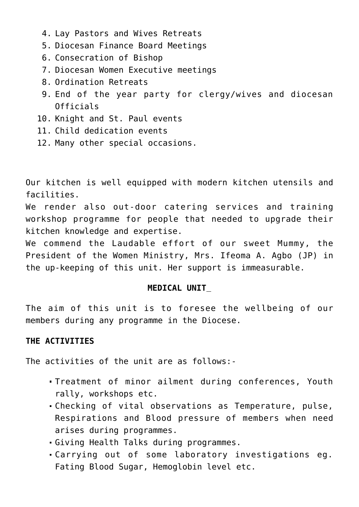- 4. Lay Pastors and Wives Retreats
- 5. Diocesan Finance Board Meetings
- 6. Consecration of Bishop
- 7. Diocesan Women Executive meetings
- 8. Ordination Retreats
- 9. End of the year party for clergy/wives and diocesan Officials
- 10. Knight and St. Paul events
- 11. Child dedication events
- 12. Many other special occasions.

Our kitchen is well equipped with modern kitchen utensils and facilities.

We render also out-door catering services and training workshop programme for people that needed to upgrade their kitchen knowledge and expertise.

We commend the Laudable effort of our sweet Mummy, the President of the Women Ministry, Mrs. Ifeoma A. Agbo (JP) in the up-keeping of this unit. Her support is immeasurable.

# **MEDICAL UNIT**

The aim of this unit is to foresee the wellbeing of our members during any programme in the Diocese.

# **THE ACTIVITIES**

The activities of the unit are as follows:-

- Treatment of minor ailment during conferences, Youth rally, workshops etc.
- Checking of vital observations as Temperature, pulse, Respirations and Blood pressure of members when need arises during programmes.
- Giving Health Talks during programmes.
- Carrying out of some laboratory investigations eg. Fating Blood Sugar, Hemoglobin level etc.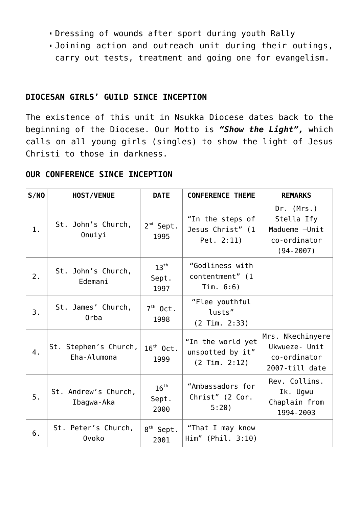- Dressing of wounds after sport during youth Rally
- Joining action and outreach unit during their outings, carry out tests, treatment and going one for evangelism.

# **DIOCESAN GIRLS' GUILD SINCE INCEPTION**

The existence of this unit in Nsukka Diocese dates back to the beginning of the Diocese. Our Motto is *"Show the Light",* which calls on all young girls (singles) to show the light of Jesus Christi to those in darkness.

## **OUR CONFERENCE SINCE INCEPTION**

| S/N0 | <b>HOST/VENUE</b>                    | <b>DATE</b>                       | <b>CONFERENCE THEME</b>                                    | <b>REMARKS</b>                                                              |
|------|--------------------------------------|-----------------------------------|------------------------------------------------------------|-----------------------------------------------------------------------------|
| 1.   | St. John's Church,<br>Onuiyi         | $2^{nd}$ Sept.<br>1995            | "In the steps of<br>Jesus Christ" (1<br>Pet. $2:11$ )      | Dr. (Mrs.)<br>Stella Ify<br>Madueme - Unit<br>co-ordinator<br>$(94 - 2007)$ |
| 2.   | St. John's Church,<br>Edemani        | $13^{\text{th}}$<br>Sept.<br>1997 | "Godliness with<br>contentment" (1<br>Tim. $6:6$ )         |                                                                             |
| 3.   | St. James' Church,<br>Orba           | $7th$ Oct.<br>1998                | "Flee youthful<br>lusts"<br>$(2$ Tim. $2:33)$              |                                                                             |
| 4.   | St. Stephen's Church,<br>Eha-Alumona | $16th$ Oct.<br>1999               | "In the world yet<br>unspotted by it"<br>$(2$ Tim. $2:12)$ | Mrs. Nkechinyere<br>Ukwueze- Unit<br>co-ordinator<br>2007-till date         |
| 5.   | St. Andrew's Church,<br>Ibagwa-Aka   | $16^{\text{th}}$<br>Sept.<br>2000 | "Ambassadors for<br>Christ" (2 Cor.<br>5:20)               | Rev. Collins.<br>Ik. Ugwu<br>Chaplain from<br>1994 - 2003                   |
| 6.   | St. Peter's Church,<br><b>Ovoko</b>  | $8^{\text{th}}$ Sept.<br>2001     | "That I may know<br>Him" (Phil. 3:10)                      |                                                                             |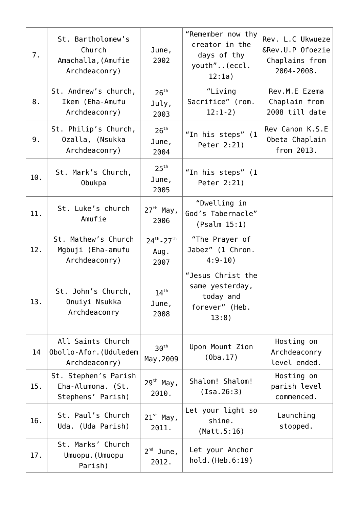| 7.  | St. Bartholomew's<br>Church<br>Amachalla, (Amufie<br>Archdeaconry) | June,<br>2002                       | "Remember now thy<br>creator in the<br>days of thy<br>youth"(eccl.<br>12:1a) | Rev. L.C Ukwueze<br>&Rev.U.P Ofoezie<br>Chaplains from<br>2004-2008. |
|-----|--------------------------------------------------------------------|-------------------------------------|------------------------------------------------------------------------------|----------------------------------------------------------------------|
| 8.  | St. Andrew's church,<br>Ikem (Eha-Amufu<br>Archdeaconry)           | 26 <sup>th</sup><br>July,<br>2003   | "Living<br>Sacrifice" (rom.<br>$12:1-2)$                                     | Rev.M.E Ezema<br>Chaplain from<br>2008 till date                     |
| 9.  | St. Philip's Church,<br>Ozalla, (Nsukka<br>Archdeaconry)           | 26 <sup>th</sup><br>June,<br>2004   | "In his steps" (1<br>Peter 2:21)                                             | Rev Canon K.S.E<br>Obeta Chaplain<br>from 2013.                      |
| 10. | St. Mark's Church,<br>Obukpa                                       | 25 <sup>th</sup><br>June,<br>2005   | "In his steps" (1<br>Peter 2:21)                                             |                                                                      |
| 11. | St. Luke's church<br>Amufie                                        | $27th$ May,<br>2006                 | "Dwelling in<br>God's Tabernacle"<br>(Psalm 15:1)                            |                                                                      |
| 12. | St. Mathew's Church<br>Mgbuji (Eha-amufu<br>Archdeaconry)          | $24^{th} - 27^{th}$<br>Aug.<br>2007 | "The Prayer of<br>Jabez" (1 Chron.<br>$4:9-10$ )                             |                                                                      |
| 13. | St. John's Church,<br>Onuiyi Nsukka<br>Archdeaconry                | $14^{th}$<br>June,<br>2008          | "Jesus Christ the<br>same yesterday,<br>today and<br>forever" (Heb.<br>13:8) |                                                                      |
| 14  | All Saints Church<br>Obollo-Afor. (Uduledem<br>Archdeaconry)       | 30 <sup>th</sup><br>May, 2009       | Upon Mount Zion<br>(0ba.17)                                                  | Hosting on<br>Archdeaconry<br>level ended.                           |
| 15. | St. Stephen's Parish<br>Eha-Alumona. (St.<br>Stephens' Parish)     | $29th$ May,<br>2010.                | Shalom! Shalom!<br>(Isa.26:3)                                                | Hosting on<br>parish level<br>commenced.                             |
| 16. | St. Paul's Church<br>Uda. (Uda Parish)                             | $21^{st}$ May,<br>2011.             | Let your light so<br>shine.<br>(Matt.5:16)                                   | Launching<br>stopped.                                                |
| 17. | St. Marks' Church<br>Umuopu. (Umuopu<br>Parish)                    | $2^{nd}$ June,<br>2012.             | Let your Anchor<br>hold. (Heb.6:19)                                          |                                                                      |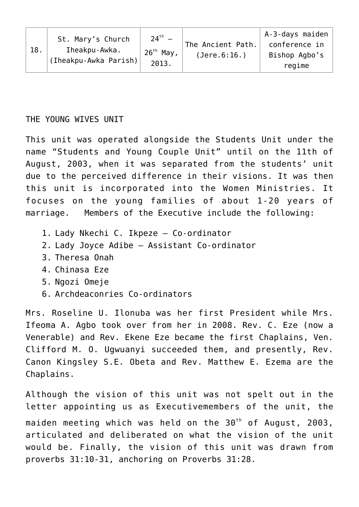|                                               | St. Mary's Church | $24^{th} -$  |                   | A-3-days maiden |
|-----------------------------------------------|-------------------|--------------|-------------------|-----------------|
| Iheakpu-Awka.<br>18.<br>(Iheakpu-Awka Parish) |                   |              | The Ancient Path. | conference in   |
|                                               | $26^{th}$ May,    | (Jere.6:16.) | Bishop Agbo's     |                 |
|                                               | 2013.             |              | regime            |                 |

THE YOUNG WIVES UNIT

This unit was operated alongside the Students Unit under the name "Students and Young Couple Unit" until on the 11th of August, 2003, when it was separated from the students' unit due to the perceived difference in their visions. It was then this unit is incorporated into the Women Ministries. It focuses on the young families of about 1-20 years of marriage. Members of the Executive include the following:

- 1. Lady Nkechi C. Ikpeze Co-ordinator
- 2. Lady Joyce Adibe Assistant Co-ordinator
- 3. Theresa Onah
- 4. Chinasa Eze
- 5. Ngozi Omeje
- 6. Archdeaconries Co-ordinators

Mrs. Roseline U. Ilonuba was her first President while Mrs. Ifeoma A. Agbo took over from her in 2008. Rev. C. Eze (now a Venerable) and Rev. Ekene Eze became the first Chaplains, Ven. Clifford M. O. Ugwuanyi succeeded them, and presently, Rev. Canon Kingsley S.E. Obeta and Rev. Matthew E. Ezema are the Chaplains.

Although the vision of this unit was not spelt out in the letter appointing us as Executivemembers of the unit, the maiden meeting which was held on the  $30<sup>th</sup>$  of August, 2003, articulated and deliberated on what the vision of the unit would be. Finally, the vision of this unit was drawn from proverbs 31:10-31, anchoring on Proverbs 31:28.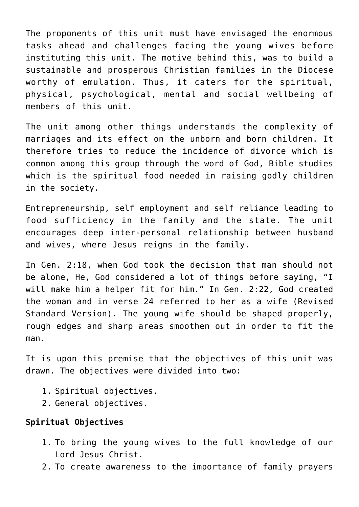The proponents of this unit must have envisaged the enormous tasks ahead and challenges facing the young wives before instituting this unit. The motive behind this, was to build a sustainable and prosperous Christian families in the Diocese worthy of emulation. Thus, it caters for the spiritual, physical, psychological, mental and social wellbeing of members of this unit.

The unit among other things understands the complexity of marriages and its effect on the unborn and born children. It therefore tries to reduce the incidence of divorce which is common among this group through the word of God, Bible studies which is the spiritual food needed in raising godly children in the society.

Entrepreneurship, self employment and self reliance leading to food sufficiency in the family and the state. The unit encourages deep inter-personal relationship between husband and wives, where Jesus reigns in the family.

In Gen. 2:18, when God took the decision that man should not be alone, He, God considered a lot of things before saying, "I will make him a helper fit for him." In Gen. 2:22, God created the woman and in verse 24 referred to her as a wife (Revised Standard Version). The young wife should be shaped properly, rough edges and sharp areas smoothen out in order to fit the man.

It is upon this premise that the objectives of this unit was drawn. The objectives were divided into two:

- 1. Spiritual objectives.
- 2. General objectives.

# **Spiritual Objectives**

- 1. To bring the young wives to the full knowledge of our Lord Jesus Christ.
- 2. To create awareness to the importance of family prayers